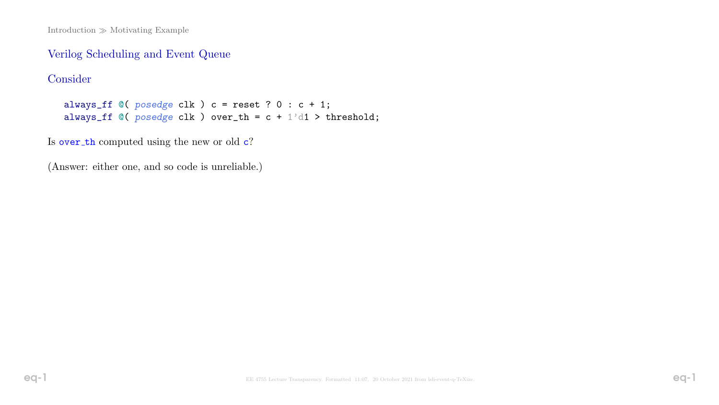Introduction  $\gg$  Motivating Example

### Verilog Scheduling and Event Queue

## Consider

always\_ff  $@($  posedge clk  $)$  c = reset ? 0 : c + 1; always\_ff  $@($  posedge clk  $)$  over\_th = c + 1'd1 > threshold;

Is over th computed using the new or old  $c$ ?

(Answer: either one, and so code is unreliable.)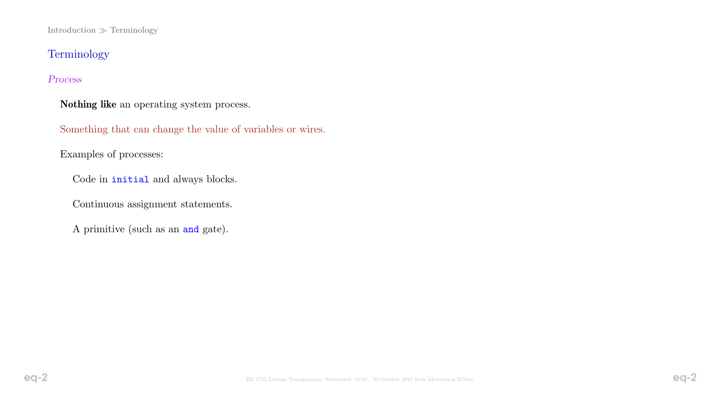$Introduction \gg Terminology$ 

# Terminology

### Process

Nothing like an operating system process.

Something that can change the value of variables or wires.

Examples of processes:

Code in initial and always blocks.

Continuous assignment statements.

A primitive (such as an and gate).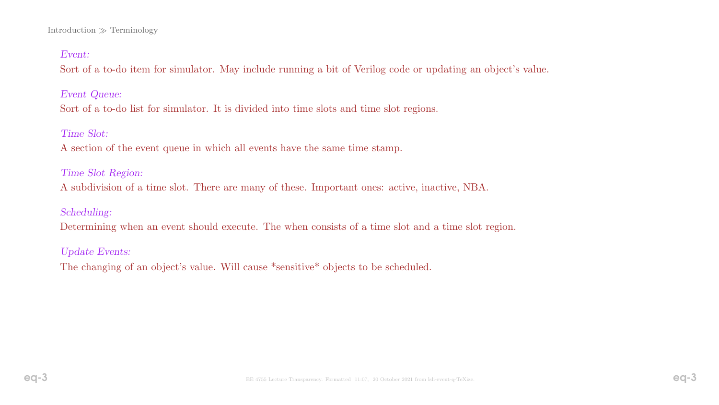#### Introduction  $\gg$  Terminology

### Event:

Sort of a to-do item for simulator. May include running a bit of Verilog code or updating an object's value.

Event Queue:

Sort of a to-do list for simulator. It is divided into time slots and time slot regions.

#### Time Slot:

A section of the event queue in which all events have the same time stamp.

#### Time Slot Region:

A subdivision of a time slot. There are many of these. Important ones: active, inactive, NBA.

### Scheduling:

Determining when an event should execute. The when consists of a time slot and a time slot region.

### Update Events:

The changing of an object's value. Will cause \*sensitive\* objects to be scheduled.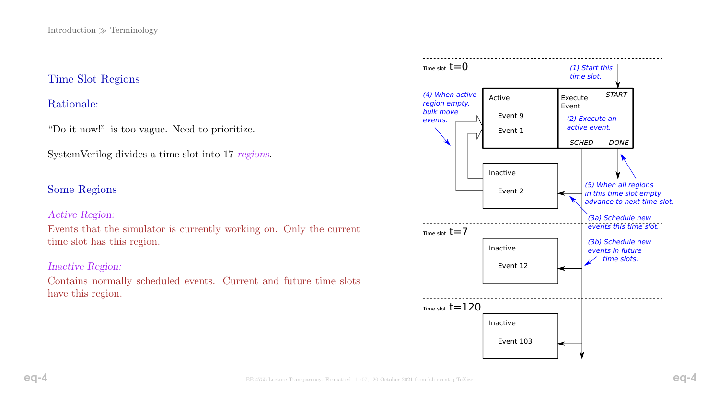## Time Slot Regions

## Rationale:

"Do it now!" is too vague. Need to prioritize.

SystemVerilog divides a time slot into 17 regions.

## Some Regions

### Active Region:

Events that the simulator is currently working on. Only the current time slot has this region.

### Inactive Region:

Contains normally scheduled events. Current and future time slots have this region.

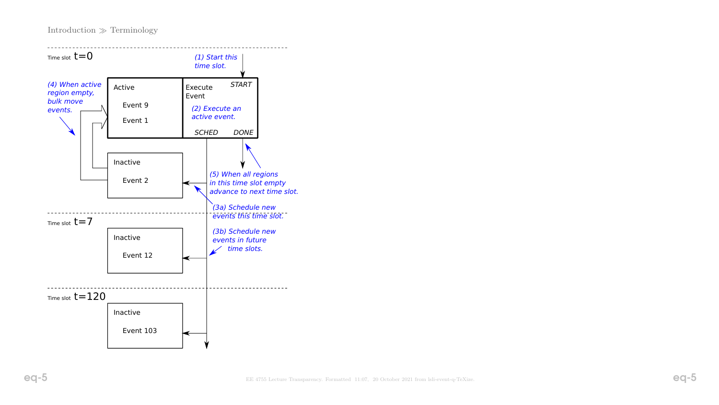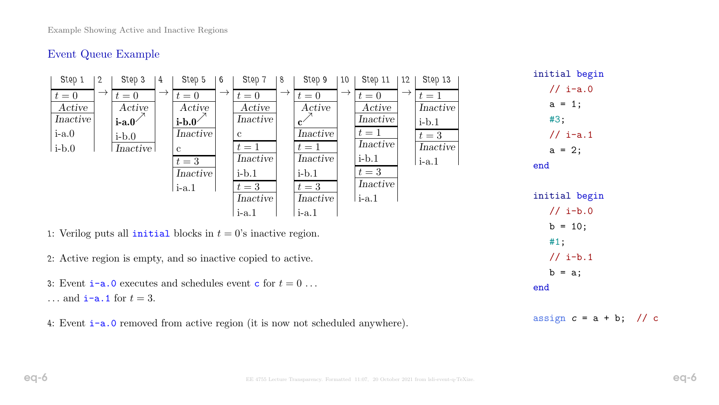## Event Queue Example

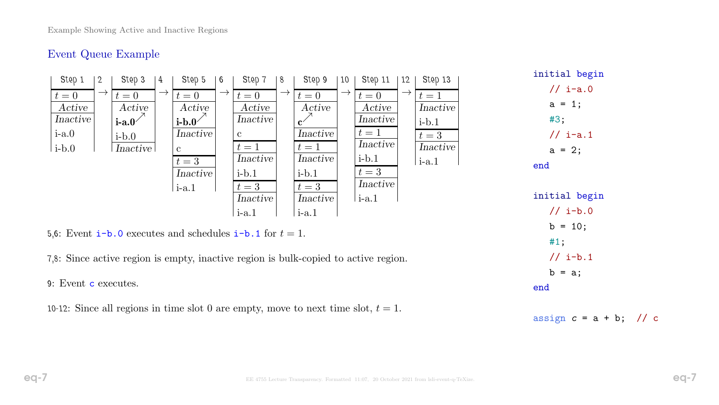# Event Queue Example

| // $i-b.0$<br>$i-a.1$<br>$i-a.1$<br>$b = 10;$<br>5,6: Event $i-b$ . 0 executes and schedules $i-b$ . 1 for $t=1$ .<br>#1;<br>$1 / i - b.1$<br>7,8: Since active region is empty, inactive region is bulk-copied to active region.<br>$b = a;$<br>9: Event c executes. | Step 1<br>Step 3<br>4<br>$2^{\circ}$<br>$\rightarrow$<br>$\rightarrow$<br>$t=0$<br>$t=0$<br>Active<br>Active<br>Inactive<br>$i$ -a. $0$<br>$i-a.0$<br>$\text{i-b.0}$<br>$i-b.0$<br><i>Inactive</i> | Step 5<br>6<br>$\rightarrow$<br>$t=0$<br>Active<br>$\mathbf{i}\text{-}\mathbf{b}\cdot\mathbf{0}$<br>Inactive<br>$\mathbf{c}$<br>$t=3$<br>Inactive<br>$\mathsf{I}\text{-a.1}$ | Step 7<br>8<br>$\rightarrow$<br>$t=0$<br>Active<br>Inactive<br>$\mathbf{c}$<br>$t=1$<br>Inactive<br>$i-b.1$<br>$t=3$ | Step 9<br>10<br>$\rightarrow$<br>$t=0$<br>Active<br>$\mathbf{c}^{\angle}$<br>Inactive<br>$t=1$<br>Inactive<br>$i-b.1$<br>$t=3$ | Step 11<br>12<br>$\rightarrow$<br>$t=0$<br>Active<br>Inactive<br>$t=1$<br>Inactive<br>$\text{i-b.1}$<br>$t=3$<br>Inactive | Step 13<br>$t=1$<br>Inactive<br>$i-b.1$<br>$t=3$<br>Inactive<br>$\mathbf{i}$ -a.1 | initial begin<br>$1/ i-a.0$<br>$a = 1;$<br>#3;<br>$\frac{1}{1}$ i-a.1<br>$a = 2;$<br>end<br>initial begin |
|-----------------------------------------------------------------------------------------------------------------------------------------------------------------------------------------------------------------------------------------------------------------------|----------------------------------------------------------------------------------------------------------------------------------------------------------------------------------------------------|------------------------------------------------------------------------------------------------------------------------------------------------------------------------------|----------------------------------------------------------------------------------------------------------------------|--------------------------------------------------------------------------------------------------------------------------------|---------------------------------------------------------------------------------------------------------------------------|-----------------------------------------------------------------------------------|-----------------------------------------------------------------------------------------------------------|
|                                                                                                                                                                                                                                                                       |                                                                                                                                                                                                    |                                                                                                                                                                              | Inactive                                                                                                             | Inactive                                                                                                                       | $\mathsf{I}\text{-a.1}$                                                                                                   |                                                                                   |                                                                                                           |
|                                                                                                                                                                                                                                                                       |                                                                                                                                                                                                    | end                                                                                                                                                                          |                                                                                                                      |                                                                                                                                |                                                                                                                           |                                                                                   |                                                                                                           |

10-12: Since all regions in time slot 0 are empty, move to next time slot,  $t = 1$ .

assign  $c = a + b$ ; // c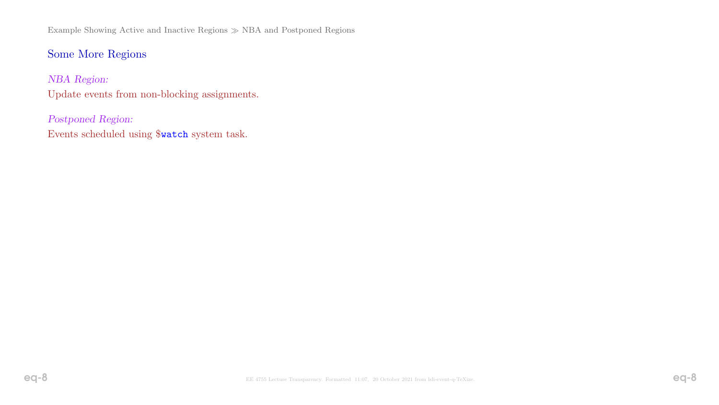Example Showing Active and Inactive Regions NBA and Postponed Regions

# Some More Regions

NBA Region: Update events from non-blocking assignments.

Postponed Region: Events scheduled using \$watch system task.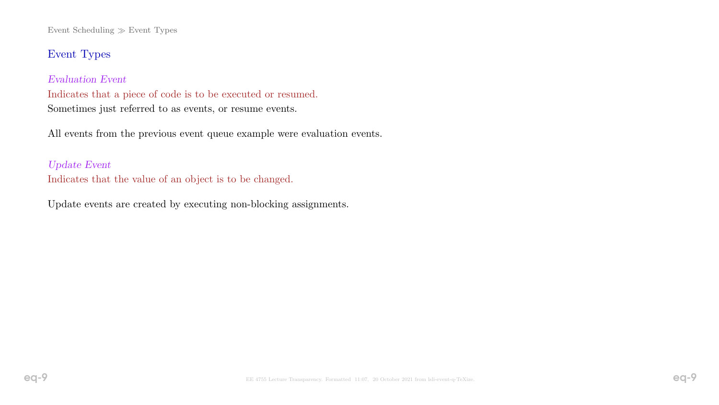Event Scheduling  $\gg$  Event Types

## Event Types

### Evaluation Event

Indicates that a piece of code is to be executed or resumed. Sometimes just referred to as events, or resume events.

All events from the previous event queue example were evaluation events.

### Update Event

Indicates that the value of an object is to be changed.

Update events are created by executing non-blocking assignments.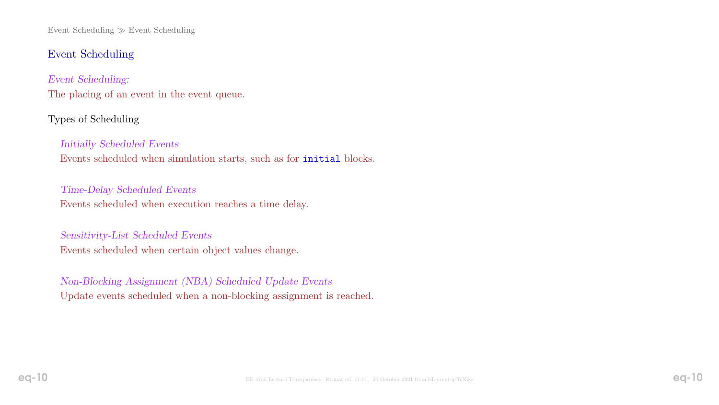Event Scheduling  $\gg$  Event Scheduling

# Event Scheduling

Event Scheduling: The placing of an event in the event queue.

## Types of Scheduling

## Initially Scheduled Events Events scheduled when simulation starts, such as for initial blocks.

Time-Delay Scheduled Events Events scheduled when execution reaches a time delay.

Sensitivity-List Scheduled Events Events scheduled when certain object values change.

Non-Blocking Assignment (NBA) Scheduled Update Events Update events scheduled when a non-blocking assignment is reached.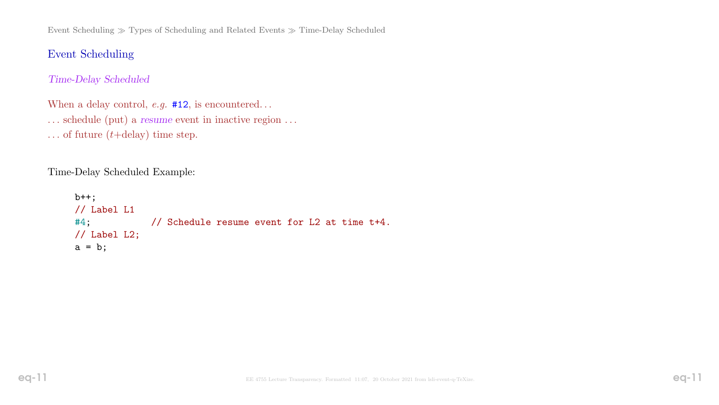Event Scheduling  $\gg$  Types of Scheduling and Related Events  $\gg$  Time-Delay Scheduled

## Event Scheduling

### Time-Delay Scheduled

When a delay control,  $e.g.$  #12, is encountered... . . . schedule (put) a resume event in inactive region . . . ... of future  $(t+delay)$  time step.

Time-Delay Scheduled Example:

```
b++;
// Label L1
#4; // Schedule resume event for L2 at time t+4.
// Label L2;
a = b;
```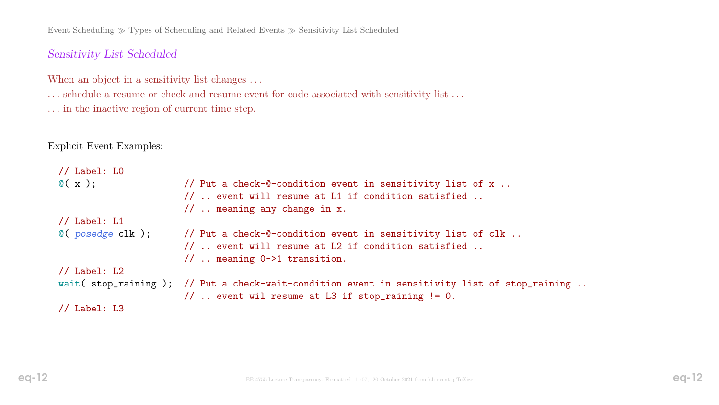Event Scheduling  $\gg$  Types of Scheduling and Related Events  $\gg$  Sensitivity List Scheduled

### Sensitivity List Scheduled

When an object in a sensitivity list changes ...

... schedule a resume or check-and-resume event for code associated with sensitivity list ...

. . . in the inactive region of current time step.

Explicit Event Examples:

```
// Label: L0
\mathbb{C}(\begin{array}{cc} \mathbf{x} \end{array}); \mathbb{Z}(\begin{array}{cc} \mathbf{x} \end{array}) // Put a check-\mathbb{C}-condition event in sensitivity list of x..
                          // .. event will resume at L1 if condition satisfied ..
                          // .. meaning any change in x.
// Label: L1
@( posedge clk ); // Put a check-@-condition event in sensitivity list of clk ..
                          // .. event will resume at L2 if condition satisfied ..
                          // .. meaning 0->1 transition.
// Label: L2
wait( stop_raining ); // Put a check-wait-condition event in sensitivity list of stop_raining ..
                          // .. event wil resume at L3 if stop_raining != 0.
// Label: L3
```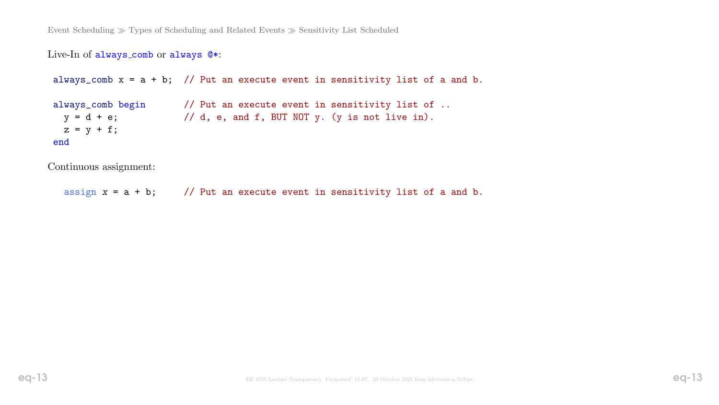#### Live-In of always comb or always @\*:

always\_comb  $x = a + b$ ; // Put an execute event in sensitivity list of a and b.

always\_comb begin // Put an execute event in sensitivity list of ..  $y = d + e$ ;  $\frac{1}{d}$ , e, and f, BUT NOT y. (y is not live in).  $z = y + f$ ; end

Continuous assignment:

assign  $x = a + b$ ; // Put an execute event in sensitivity list of a and b.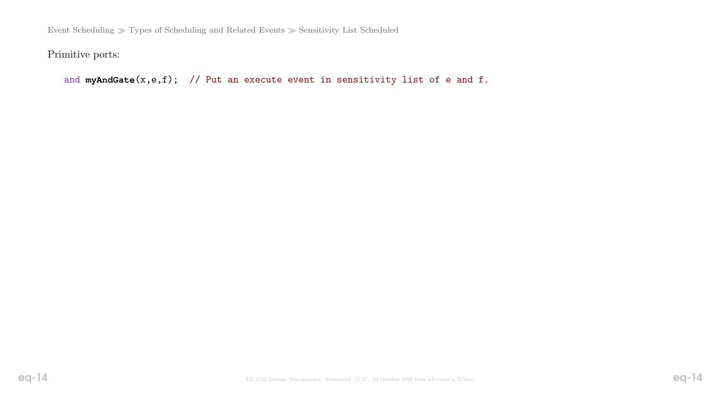Event Scheduling  $\gg$  Types of Scheduling and Related Events  $\gg$  Sensitivity List Scheduled

Primitive ports:

```
and myAndGate(x,e,f); // Put an execute event in sensitivity list of e and f.
```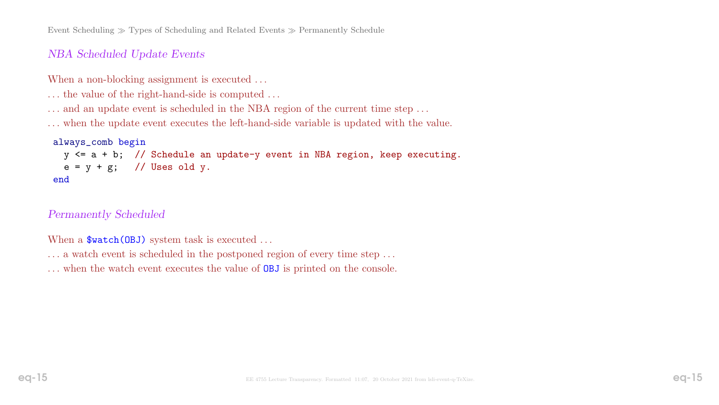Event Scheduling  $\gg$  Types of Scheduling and Related Events  $\gg$  Permanently Schedule

## NBA Scheduled Update Events

When a non-blocking assignment is executed ...

... the value of the right-hand-side is computed ...

... and an update event is scheduled in the NBA region of the current time step ...

. . . when the update event executes the left-hand-side variable is updated with the value.

#### always\_comb begin

```
y \le a + b; // Schedule an update-y event in NBA region, keep executing.
 e = y + g; // Uses old y.
end
```
#### Permanently Scheduled

When a  $\text{Student}(\text{OBJ})$  system task is executed ...

- ... a watch event is scheduled in the postponed region of every time step ...
- ... when the watch event executes the value of **OBJ** is printed on the console.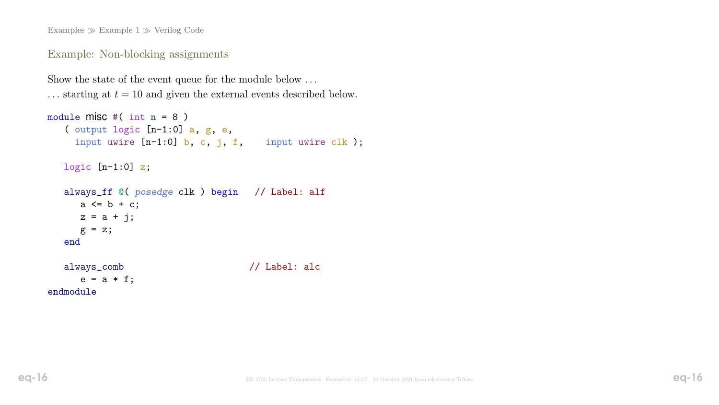Examples  $\gg$  Example 1  $\gg$  Verilog Code

#### Example: Non-blocking assignments

```
Show the state of the event queue for the module below ...
\ldots starting at t = 10 and given the external events described below.
```

```
module misc #(\text{int } n = 8)( output logic [n-1:0] a, g, e,
    input uwire [n-1:0] b, c, j, f, input uwire clk);
  logic [n-1:0] z;
  always_ff @( posedge clk ) begin // Label: alf
     a \leq b + c;
     z = a + j;g = z;end
  always_comb // Label: alc
     e = a * f;
```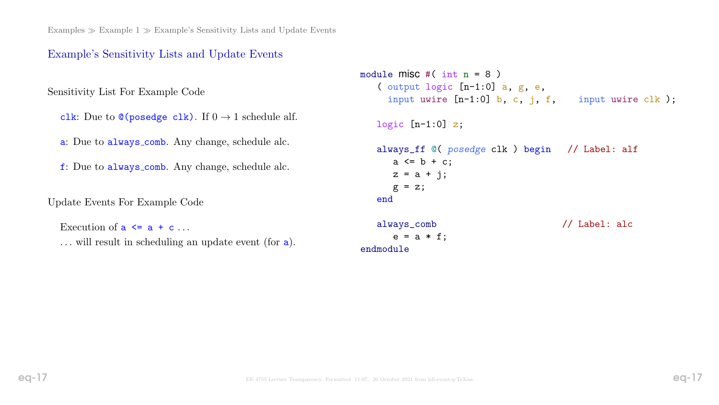Examples  $\gg$  Example 1  $\gg$  Example's Sensitivity Lists and Update Events

### Example's Sensitivity Lists and Update Events

Sensitivity List For Example Code

clk: Due to  $\mathcal{O}(\mathsf{posedge} \text{ c} \mathsf{lk})$ . If  $0 \to 1$  schedule alf.

a: Due to always comb. Any change, schedule alc.

f: Due to always comb. Any change, schedule alc.

Update Events For Example Code

```
Execution of a \leq a + c \dots
```
... will result in scheduling an update event (for a).

```
module misc #(\text{int } n = 8)( output logic [n-1:0] a, g, e,
    input uwire [n-1:0] b, c, j, f, input uwire clk);
  logic [n-1:0] z;
  always_ff @( posedge clk ) begin // Label: alf
     a \leq b + c;
     z = a + j;g = z;end
  always_comb // Label: alc
     e = a * f;
endmodule
```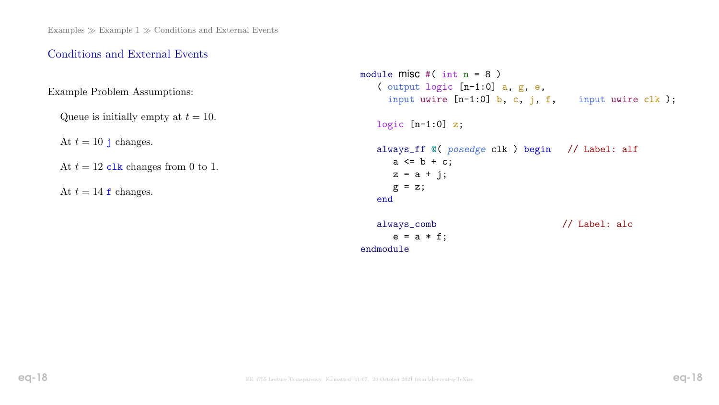# Conditions and External Events

Example Problem Assumptions:

Queue is initially empty at  $t = 10$ .

At  $t = 10$  j changes.

At  $t = 12$  clk changes from 0 to 1.

At  $t = 14$  f changes.

```
module misc #(\text{int } n = 8)( output logic [n-1:0] a, g, e,
    input uwire [n-1:0] b, c, j, f, input uwire clk);
  logic [n-1:0] z;
  always_ff @( posedge clk ) begin // Label: alf
     a \leq b + c;
     z = a + j;g = z;end
  always_comb // Label: alc
     e = a * f;
endmodule
```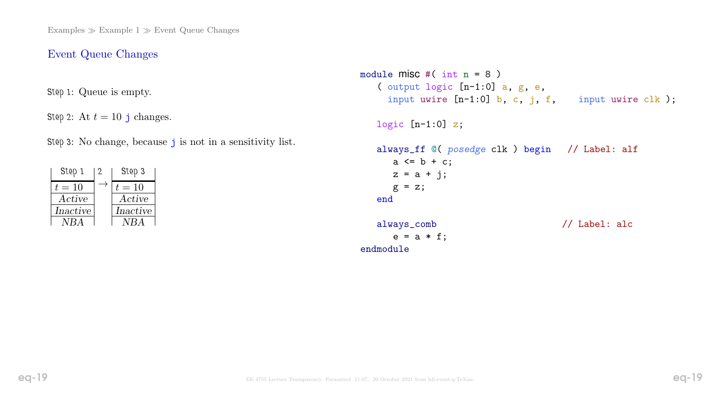### Event Queue Changes

Step 1: Queue is empty.

Step 2: At  $t = 10$  j changes.

Step 3: No change, because j is not in a sensitivity list.

| Step 1   | Step 3   |
|----------|----------|
| $t=10$   | $t=10$   |
| Active   | Active   |
| Inactive | Inactive |
| NBA      | NRA      |

```
module misc #(\text{int } n = 8)( output logic [n-1:0] a, g, e,
    input uwire [n-1:0] b, c, j, f, input uwire clk);
  logic [n-1:0] z;
  always_ff @( posedge clk ) begin // Label: alf
     a \leq b + c;
     z = a + j;g = z;end
  always_comb // Label: alc
     e = a * f;
endmodule
```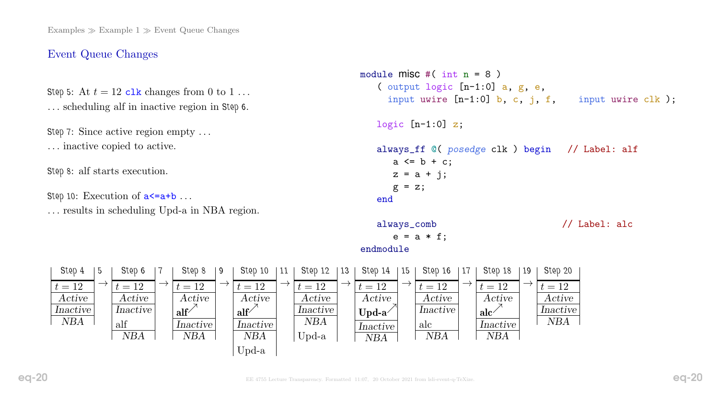### Event Queue Changes

Step 5: At  $t = 12$  clk changes from 0 to 1... . . . scheduling alf in inactive region in Step 6.

Step 7: Since active region empty . . . . . . inactive copied to active.

Step 8: alf starts execution.

Step 10: Execution of  $a \leq a+b$ ... . . . results in scheduling Upd-a in NBA region.



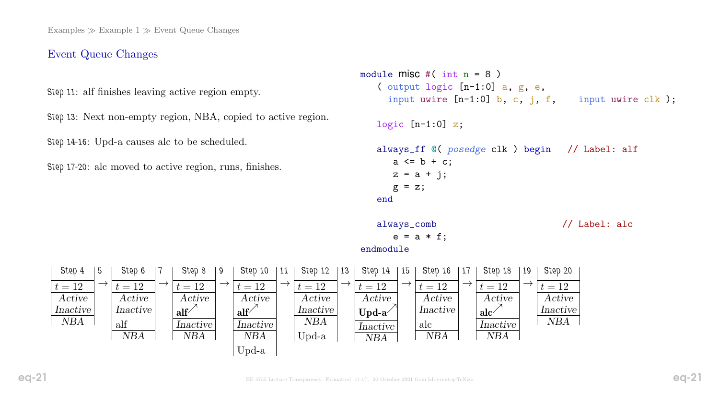### Event Queue Changes

Step 11: alf finishes leaving active region empty.

Step 13: Next non-empty region, NBA, copied to active region.

Step 14-16: Upd-a causes alc to be scheduled.

Step 17-20: alc moved to active region, runs, finishes.

7

 $\rightarrow$ 

Step 8

9

 $\rightarrow$ 

Step 10

11  $\rightarrow$  Step 12

 $t = 12$ Active Inactive NBA

Upd-a

 $t = 12$ Active

alf $\bigwedge^{\nearrow}$ 

Inactive NBA

Upd-a

 $t = 12$ Active

 $\text{alf}^{\nearrow}$ 

Inactive NBA

```
module misc \#( int n = 8 )
         ( output logic [n-1:0] a, g, e,
           input uwire [n-1:0] b, c, j, f, input uwire clk);
        logic [n-1:0] z;
         always_ff @( posedge clk ) begin // Label: alf
            a \leq b + c;
            z = a + j;g = z;end
         always_comb // Label: alc
            e = a * f;
     endmodule
|13|\rightarrowStep 14
15
    t = 12Active
     Upd-aInactive
              \rightarrowStep 16
                  t = 12Active
                  Inactive
                  alc
                          17
                           \rightarrow \boxed{t=12}Step 18
19
                               Active
                               \mathrm{alc}<sup>\sqrt{\phantom{a}}</sup>
                               Inactive
                                         \rightarrowStep 20
                                           t = 12Active
                                            Inactive
                                             NBA
```
NBA

Step 4

5

 $\rightarrow$ 

Step 6

Active Inactive

NBA

 $t = 12$ 

alf

 $t = 12$ Active Inactive NBA

NBA

NBA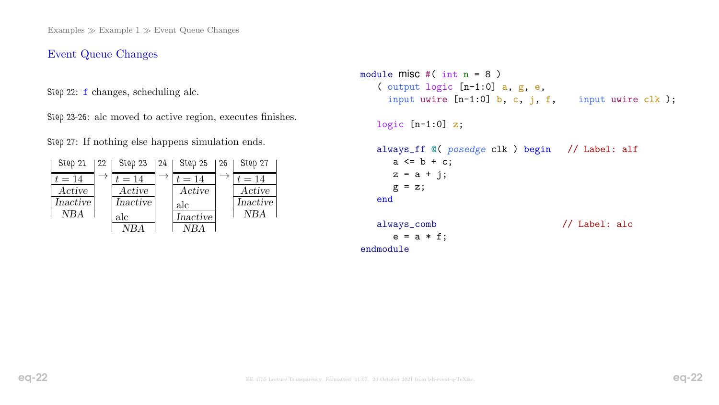## Event Queue Changes

Step 22: f changes, scheduling alc.

Step 23-26: alc moved to active region, executes finishes.

Step 27: If nothing else happens simulation ends.

| Step 21  | 22 | Step 23  | 24 | Step 25  | 26 | Step 27  |
|----------|----|----------|----|----------|----|----------|
| $t=14$   |    | $t=14$   |    | $t=14$   |    | $t=14$   |
| Active   |    | Active   |    | Active   |    | Active   |
| Inactive |    | Inactive |    | alc      |    | Inactive |
| NBA      |    | alc      |    | Inactive |    | NBA      |
|          |    |          |    |          |    |          |

```
module misc #(\text{int } n = 8)( output logic [n-1:0] a, g, e,
    input uwire [n-1:0] b, c, j, f, input uwire clk);
  logic [n-1:0] z;
  always_ff @( posedge clk ) begin // Label: alf
     a \leq b + c;
     z = a + j;g = z;end
  always_comb // Label: alc
     e = a * f;
```
endmodule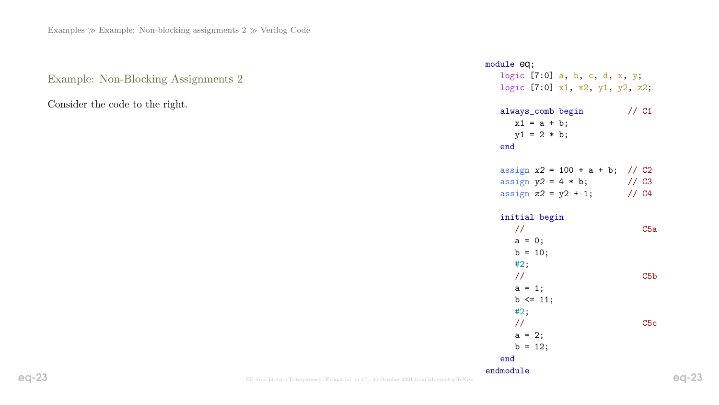Example: Non-Blocking Assignments 2

Consider the code to the right.

| module eq;<br>logic $[7:0]$ a, b, c, d, x, y;<br>logic [7:0] x1, x2, y1, y2, z2;           |                  |
|--------------------------------------------------------------------------------------------|------------------|
| always_comb begin<br>$x1 = a + b;$<br>$y1 = 2 * b;$<br>end                                 | $//$ $C1$        |
| assign $x2 = 100 + a + b$ ; // C2<br>assign $y2 = 4 * b$ ;<br>assign $z2 = y2 + 1$ ; // C4 | $\frac{1}{2}$ C3 |
| initial begin<br>$\frac{1}{2}$<br>$a = 0;$<br>$b = 10;$                                    | C5a              |
| #2;<br>$\frac{1}{2}$<br>$a = 1;$<br>$b \le 11$ ;<br>#2;                                    | C5 <sub>b</sub>  |
| $\frac{1}{2}$<br>$a = 2;$<br>$b = 12;$<br>end                                              | C5c              |
| endmodule                                                                                  |                  |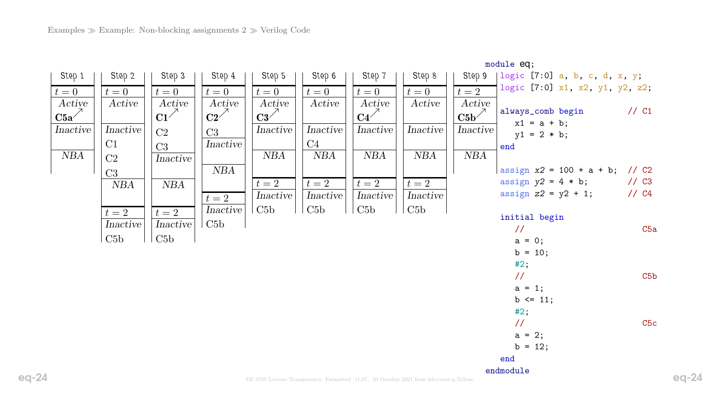|                         |          |                 |                 |                 |                                                                                          |                  |          |                           | module eq;                                     |                  |
|-------------------------|----------|-----------------|-----------------|-----------------|------------------------------------------------------------------------------------------|------------------|----------|---------------------------|------------------------------------------------|------------------|
| Step 1                  | Step 2   | Step 3          | Step 4          | Step 5          | Step 6                                                                                   | Step 7           | Step 8   | Step 9                    | $\lceil \logic \rceil$ [7:0] a, b, c, d, x, y; |                  |
| $t=0$                   | $t=0$    | $t=0$           | $t=0$           | $t=0$           | $t=0$                                                                                    | $t=0$            | $t=0$    | $t=2$                     | logic [7:0] x1, x2, y1, y2, z2;                |                  |
| Active                  | Active   | Active          | Active          | Active          | Active                                                                                   | Active           | Active   | Active                    |                                                |                  |
| $\text{C5a}^{\nearrow}$ |          | $C1^{\nearrow}$ | $C2^{\nearrow}$ | $C3^{\nearrow}$ |                                                                                          | $C4^{\nearrow}$  |          | $\mathrm{C5b}^{\nearrow}$ | always_comb begin<br>$x1 = a + b;$             | $//$ C1          |
| Inactive                | Inactive | C <sub>2</sub>  | C3              | Inactive        | Inactive                                                                                 | Inactive         | Inactive | Inactive                  | $y1 = 2 * b;$                                  |                  |
|                         | C1       | C <sub>3</sub>  | Inactive        |                 | C4                                                                                       |                  |          |                           | end                                            |                  |
| NBA                     | C2       | Inactive        |                 | NBA             | NBA                                                                                      | NBA              | NBA      | NBA                       |                                                |                  |
|                         | C3       |                 | NBA             |                 |                                                                                          |                  |          |                           | assign $x2 = 100 + a + b$ ; // C2              |                  |
|                         | NBA      | NBA             |                 | $t=2$           | $t=2$                                                                                    | $t=2$            | $t=2$    |                           | assign $y2 = 4 * b$ ;                          | $\frac{1}{2}$ C3 |
|                         |          |                 | $t=2$           | Inactive        | Inactive                                                                                 | Inactive         | Inactive |                           | assign $z2 = y2 + 1$ ;                         | $1/$ C4          |
|                         | $t=2$    | $t=2$           | Inactive        | C5b             | C5b                                                                                      | $\overline{C5b}$ | C5b      |                           |                                                |                  |
|                         | Inactive | Inactive        | C5b             |                 |                                                                                          |                  |          |                           | initial begin                                  |                  |
|                         | C5b      | C5b             |                 |                 |                                                                                          |                  |          |                           | $\frac{1}{2}$                                  | C5a              |
|                         |          |                 |                 |                 |                                                                                          |                  |          |                           | $a = 0;$                                       |                  |
|                         |          |                 |                 |                 |                                                                                          |                  |          |                           | $b = 10;$                                      |                  |
|                         |          |                 |                 |                 |                                                                                          |                  |          |                           | #2;<br>$\frac{1}{2}$                           | C5 <sub>b</sub>  |
|                         |          |                 |                 |                 |                                                                                          |                  |          |                           | $a = 1;$                                       |                  |
|                         |          |                 |                 |                 |                                                                                          |                  |          |                           | $b \le 11$ ;                                   |                  |
|                         |          |                 |                 |                 |                                                                                          |                  |          |                           | #2;                                            |                  |
|                         |          |                 |                 |                 |                                                                                          |                  |          |                           | $\frac{1}{2}$                                  | C5c              |
|                         |          |                 |                 |                 |                                                                                          |                  |          |                           | $a = 2;$                                       |                  |
|                         |          |                 |                 |                 |                                                                                          |                  |          |                           | $b = 12;$                                      |                  |
|                         |          |                 |                 |                 |                                                                                          |                  |          |                           | end                                            |                  |
|                         |          |                 |                 |                 | EE 4755 Lecture Transparency. Formatted 11:07, 20 October 2021 from lsli-event-q-TeXize. |                  |          |                           | endmodule                                      |                  |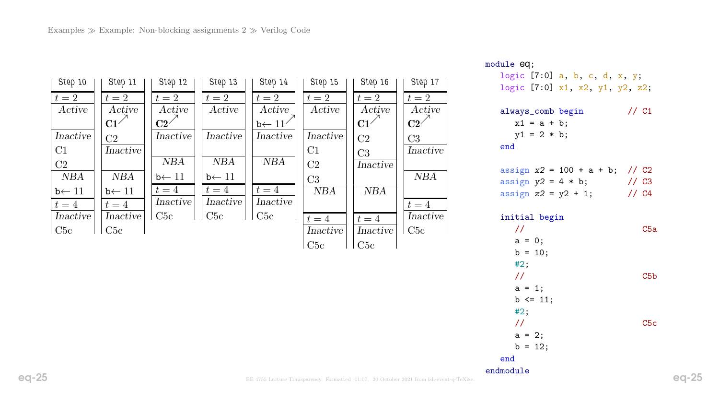| Step 10           | Step 11           | Step 12           | Step 13           | Step 14            | Step 15        | Step 16         | Step 17         |
|-------------------|-------------------|-------------------|-------------------|--------------------|----------------|-----------------|-----------------|
| $t=2$             | $t=2$             | $t=2$             | $t=2$             | $t=2$              | $t=2$          | $t=2$           | $t=2$           |
| Active            | Active            | Active            | Active            | Active             | Active         | Active          | Active          |
|                   | $C1^{\nearrow}$   | $C2^{\nearrow}$   |                   | $b \leftarrow 11'$ |                | $C1^{\nearrow}$ | $\overline{C2}$ |
| Inactive          | C <sub>2</sub>    | Inactive          | Inactive          | Inactive           | Inactive       | C <sub>2</sub>  | C <sub>3</sub>  |
| C1                | Inactive          |                   |                   |                    | C1             | C <sub>3</sub>  | Inactive        |
| C2                |                   | <b>NBA</b>        | <b>NBA</b>        | <b>NBA</b>         | C <sub>2</sub> | Inactive        |                 |
| NBA               | <b>NBA</b>        | $b \leftarrow 11$ | $b \leftarrow 11$ |                    | C3             |                 | <b>NBA</b>      |
| $b \leftarrow 11$ | $b \leftarrow 11$ | $t=4$             | $t=4$             | $t=4$              | <b>NBA</b>     | <b>NBA</b>      |                 |
| $t=4$             | $t=4$             | Inactive          | Inactive          | Inactive           |                |                 | $t=4$           |
| Inactive          | Inactive          | C5c               | C5c               | C5c                | $t=4$          | $t=4$           | Inactive        |
| C5c               | C5c               |                   |                   |                    | Inactive       | Inactive        | C5c             |
|                   |                   |                   |                   |                    | C5c            | C5c             |                 |

```
module eq;
```
logic [7:0] a, b, c, d, x, y; logic [7:0] x1, x2, y1, y2, z2;

| always_comb begin | $//$ C1 |  |
|-------------------|---------|--|
| $x1 = a + b$ ;    |         |  |
| $y1 = 2 * b;$     |         |  |
| end               |         |  |
|                   |         |  |

| assign $x2 = 100 + a + b$ ; // C2 |                  |
|-----------------------------------|------------------|
| assign $y2 = 4 * b$ ;             | $\frac{7}{3}$ C3 |
| assign $z2 = y2 + 1$ ;            | 1/ C4            |

#### initial begin

| $\prime\prime$ | C5a             |
|----------------|-----------------|
| $a = 0;$       |                 |
| $b = 10;$      |                 |
| #2;            |                 |
| $\frac{1}{2}$  | C5 <sub>b</sub> |
| $a = 1;$       |                 |
| $b \le 11$ ;   |                 |
| #2;            |                 |
| $\frac{1}{2}$  | C5c             |
| $a = 2;$       |                 |
| $b = 12;$      |                 |
| end            |                 |
| endmodule      |                 |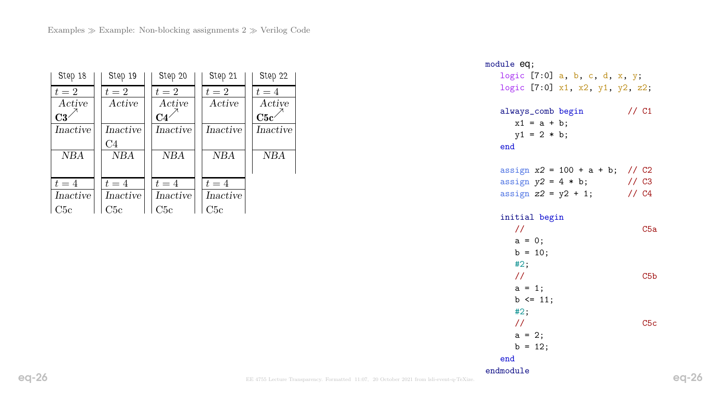| Step 18    | Step 19    | Step 20         | Step 21    | Step 22    |
|------------|------------|-----------------|------------|------------|
| $t=2$      | $t=2$      | $t=2$           | $t=2$      | $t=4$      |
| Active     | Active     | Active          | Active     | Active     |
| C3'        |            | C4 <sup>2</sup> |            | C5c        |
| Inactive   | Inactive   | Inactive        | Inactive   | Inactive   |
|            | C4         |                 |            |            |
| <b>NBA</b> | <b>NBA</b> | <b>NBA</b>      | <b>NBA</b> | <b>NBA</b> |
|            |            |                 |            |            |
| $t=4$      | $t=4$      | $t=4$           | $t=4$      |            |
| Inactive   | Inactive   | Inactive        | Inactive   |            |
| C5c        | C5c        | C5c             | C5c        |            |

module eq; logic [7:0] a, b, c, d, x, y; logic [7:0] x1, x2, y1, y2, z2; always\_comb begin // C1  $x1 = a + b;$  $y1 = 2 * b;$ end assign  $x2 = 100 + a + b$ ; // C2 assign  $y2 = 4 * b$ ; // C3 assign  $z^2 = y^2 + 1$ ; // C4 initial begin // C5a  $a = 0;$  $b = 10;$ #2; // C5b  $a = 1;$  $b \le 11$ ; #2; // C5c  $a = 2;$  $b = 12;$ end endmodule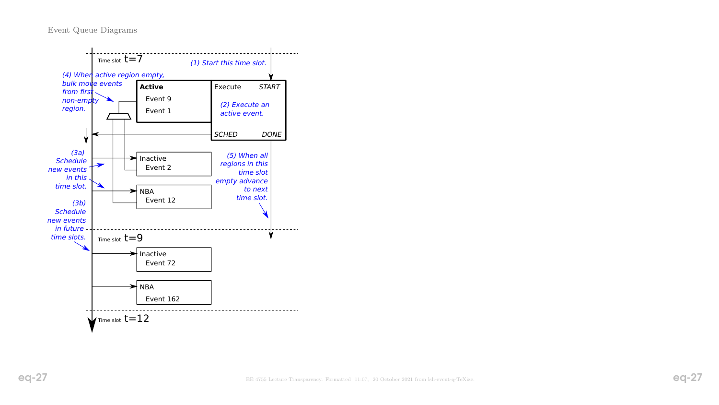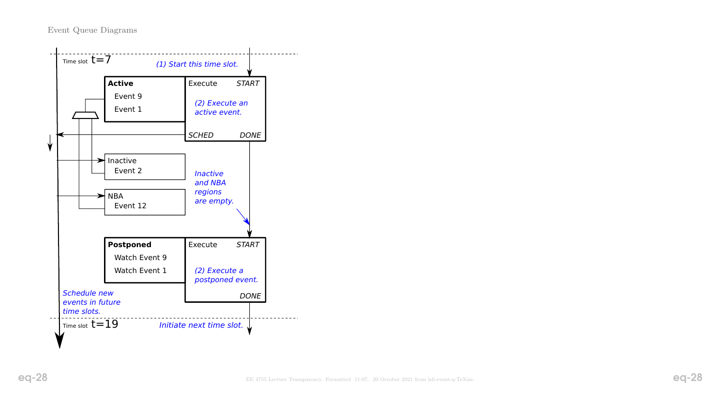